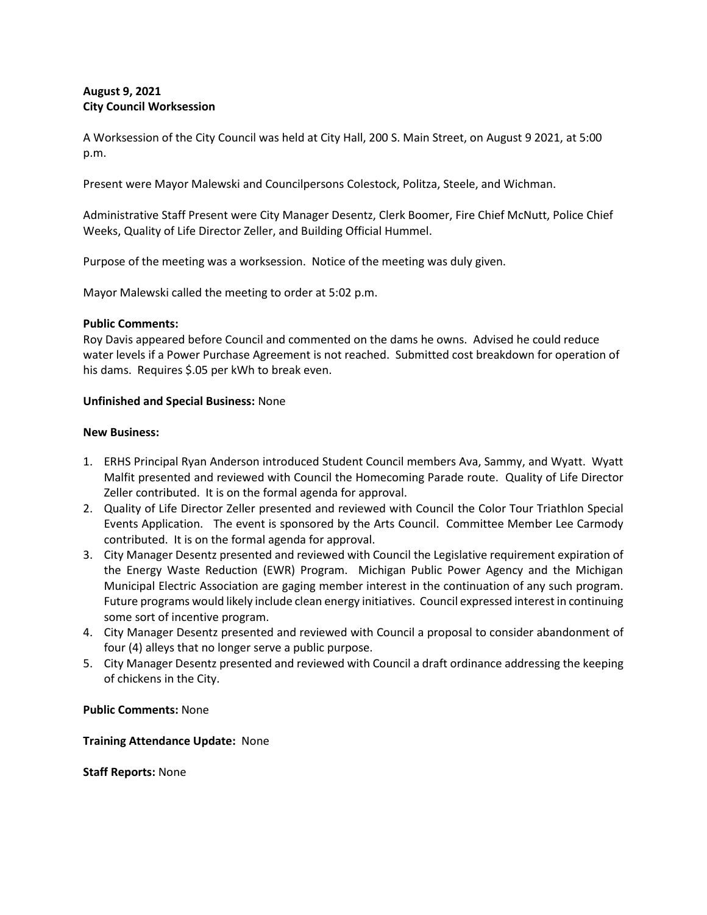# **August 9, 2021 City Council Worksession**

A Worksession of the City Council was held at City Hall, 200 S. Main Street, on August 9 2021, at 5:00 p.m.

Present were Mayor Malewski and Councilpersons Colestock, Politza, Steele, and Wichman.

Administrative Staff Present were City Manager Desentz, Clerk Boomer, Fire Chief McNutt, Police Chief Weeks, Quality of Life Director Zeller, and Building Official Hummel.

Purpose of the meeting was a worksession. Notice of the meeting was duly given.

Mayor Malewski called the meeting to order at 5:02 p.m.

### **Public Comments:**

Roy Davis appeared before Council and commented on the dams he owns. Advised he could reduce water levels if a Power Purchase Agreement is not reached. Submitted cost breakdown for operation of his dams. Requires \$.05 per kWh to break even.

### **Unfinished and Special Business:** None

### **New Business:**

- 1. ERHS Principal Ryan Anderson introduced Student Council members Ava, Sammy, and Wyatt. Wyatt Malfit presented and reviewed with Council the Homecoming Parade route. Quality of Life Director Zeller contributed. It is on the formal agenda for approval.
- 2. Quality of Life Director Zeller presented and reviewed with Council the Color Tour Triathlon Special Events Application. The event is sponsored by the Arts Council. Committee Member Lee Carmody contributed. It is on the formal agenda for approval.
- 3. City Manager Desentz presented and reviewed with Council the Legislative requirement expiration of the Energy Waste Reduction (EWR) Program. Michigan Public Power Agency and the Michigan Municipal Electric Association are gaging member interest in the continuation of any such program. Future programs would likely include clean energy initiatives. Council expressed interest in continuing some sort of incentive program.
- 4. City Manager Desentz presented and reviewed with Council a proposal to consider abandonment of four (4) alleys that no longer serve a public purpose.
- 5. City Manager Desentz presented and reviewed with Council a draft ordinance addressing the keeping of chickens in the City.

# **Public Comments:** None

# **Training Attendance Update:** None

**Staff Reports:** None